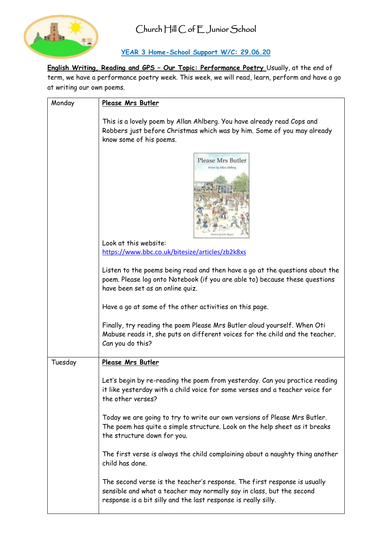

### **YEAR 3 Home-School Support W/C: 29.06.20**

**English Writing, Reading and GPS – Our Topic: Performance Poetry** Usually, at the end of term, we have a performance poetry week. This week, we will read, learn, perform and have a go at writing our own poems.

| Monday  | Please Mrs Butler                                                                                                                                                                                                    |
|---------|----------------------------------------------------------------------------------------------------------------------------------------------------------------------------------------------------------------------|
|         | This is a lovely poem by Allan Ahlberg. You have already read Cops and<br>Robbers just before Christmas which was by him. Some of you may already<br>know some of his poems.                                         |
|         | Please Mrs Butler<br><b>Hysies by Affair Alellery</b>                                                                                                                                                                |
|         | Look at this website:                                                                                                                                                                                                |
|         | https://www.bbc.co.uk/bitesize/articles/zb2k8xs                                                                                                                                                                      |
|         | Listen to the poems being read and then have a go at the questions about the<br>poem. Please log onto Notebook (if you are able to) because these questions<br>have been set as an online quiz.                      |
|         | Have a go at some of the other activities on this page.                                                                                                                                                              |
|         | Finally, try reading the poem Please Mrs Butler aloud yourself. When Oti<br>Mabuse reads it, she puts on different voices for the child and the teacher.<br>Can you do this?                                         |
| Tuesday | Please Mrs Butler                                                                                                                                                                                                    |
|         | Let's begin by re-reading the poem from yesterday. Can you practice reading<br>it like yesterday with a child voice for some verses and a teacher voice for<br>the other verses?                                     |
|         | Today we are going to try to write our own versions of Please Mrs Butler.<br>The poem has quite a simple structure. Look on the help sheet as it breaks<br>the structure down for you.                               |
|         | The first verse is always the child complaining about a naughty thing another<br>child has done.                                                                                                                     |
|         | The second verse is the teacher's response. The first response is usually<br>sensible and what a teacher may normally say in class, but the second<br>response is a bit silly and the last response is really silly. |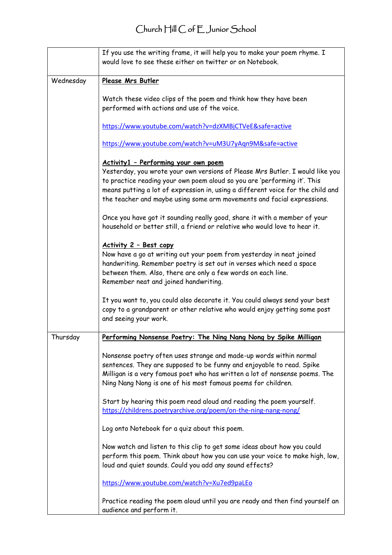# Church Hill C of E Junior School

|           | If you use the writing frame, it will help you to make your poem rhyme. I<br>would love to see these either on twitter or on Notebook.                                                                                                                                                                                 |
|-----------|------------------------------------------------------------------------------------------------------------------------------------------------------------------------------------------------------------------------------------------------------------------------------------------------------------------------|
| Wednesday | Please Mrs Butler                                                                                                                                                                                                                                                                                                      |
|           | Watch these video clips of the poem and think how they have been<br>performed with actions and use of the voice.                                                                                                                                                                                                       |
|           | https://www.youtube.com/watch?v=dzXMBjCTVeE&safe=active                                                                                                                                                                                                                                                                |
|           | https://www.youtube.com/watch?v=uM3U7yAqn9M&safe=active                                                                                                                                                                                                                                                                |
|           | Activity1 - Performing your own poem                                                                                                                                                                                                                                                                                   |
|           | Yesterday, you wrote your own versions of Please Mrs Butler. I would like you<br>to practice reading your own poem aloud so you are 'performing it'. This<br>means putting a lot of expression in, using a different voice for the child and<br>the teacher and maybe using some arm movements and facial expressions. |
|           | Once you have got it sounding really good, share it with a member of your<br>household or better still, a friend or relative who would love to hear it.                                                                                                                                                                |
|           | Activity 2 - Best copy<br>Now have a go at writing out your poem from yesterday in neat joined<br>handwriting. Remember poetry is set out in verses which need a space<br>between them. Also, there are only a few words on each line.<br>Remember neat and joined handwriting.                                        |
|           | It you want to, you could also decorate it. You could always send your best<br>copy to a grandparent or other relative who would enjoy getting some post<br>and seeing your work.                                                                                                                                      |
| Thursday  | Performing Nonsense Poetry: The Ning Nang Nong by Spike Milligan                                                                                                                                                                                                                                                       |
|           | Nonsense poetry often uses strange and made-up words within normal<br>sentences. They are supposed to be funny and enjoyable to read. Spike<br>Milligan is a very famous poet who has written a lot of nonsense poems. The<br>Ning Nang Nong is one of his most famous poems for children.                             |
|           | Start by hearing this poem read aloud and reading the poem yourself.<br>https://childrens.poetryarchive.org/poem/on-the-ning-nang-nong/                                                                                                                                                                                |
|           | Log onto Notebook for a quiz about this poem.                                                                                                                                                                                                                                                                          |
|           | Now watch and listen to this clip to get some ideas about how you could<br>perform this poem. Think about how you can use your voice to make high, low,<br>loud and quiet sounds. Could you add any sound effects?                                                                                                     |
|           | https://www.youtube.com/watch?v=Xu7ed9paLEo                                                                                                                                                                                                                                                                            |
|           | Practice reading the poem aloud until you are ready and then find yourself an<br>audience and perform it.                                                                                                                                                                                                              |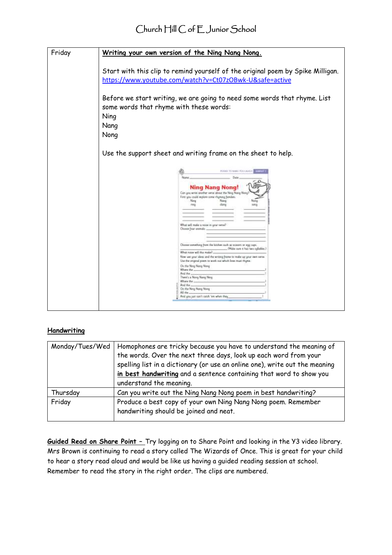| Friday | <u>Writing your own version of the Ning Nang Nong.</u>                                                                                                     |
|--------|------------------------------------------------------------------------------------------------------------------------------------------------------------|
|        |                                                                                                                                                            |
|        | Start with this clip to remind yourself of the original poem by Spike Milligan.<br>https://www.youtube.com/watch?v=Ct07zOBwk-U&safe=active                 |
|        | Before we start writing, we are going to need some words that rhyme. List<br>some words that rhyme with these words:                                       |
|        | Ning                                                                                                                                                       |
|        | Nang                                                                                                                                                       |
|        | Nong                                                                                                                                                       |
|        | Use the support sheet and writing frame on the sheet to help.                                                                                              |
|        | PULSED TO MAKE PULLABANCH APPROXIC                                                                                                                         |
|        | Ning Nang Nong<br>Can you write snother vetse about the Ning Nong Nong<br>First you could explore some rhymng families<br>Nation<br>Nana<br>diana<br>rosa  |
|        | Techni will make a rosse in wine live tarill                                                                                                               |
|        | Choose four animals.                                                                                                                                       |
|        | Choose constitute from the litcher such as scients or egg cups.<br>Make ours a has two cylialies.)<br>What niste will this make?                           |
|        | Now use your ideas and the writing frame to make up your own verse.<br>Use the priginal poem to work out which lines must rhyme.<br>On the Mong Niang Mong |
|        | Where the<br>And the<br>There's a Nona Nang Nosg                                                                                                           |
|        | Witers the<br>And the                                                                                                                                      |
|        | On the Ning Nang Mong<br>Alt that.                                                                                                                         |
|        | And greatest can't catch 'ent when they                                                                                                                    |
|        |                                                                                                                                                            |

### **Handwriting**

| Monday/Tues/Wed | Homophones are tricky because you have to understand the meaning of         |  |
|-----------------|-----------------------------------------------------------------------------|--|
|                 | the words. Over the next three days, look up each word from your            |  |
|                 | spelling list in a dictionary (or use an online one), write out the meaning |  |
|                 | in best handwriting and a sentence containing that word to show you         |  |
|                 | understand the meaning.                                                     |  |
| Thursday        | Can you write out the Ning Nang Nong poem in best handwriting?              |  |
| Friday          | Produce a best copy of your own Ning Nang Nong poem. Remember               |  |
|                 | handwriting should be joined and neat.                                      |  |
|                 |                                                                             |  |

**Guided Read on Share Point –** Try logging on to Share Point and looking in the Y3 video library. Mrs Brown is continuing to read a story called The Wizards of Once. This is great for your child to hear a story read aloud and would be like us having a guided reading session at school. Remember to read the story in the right order. The clips are numbered.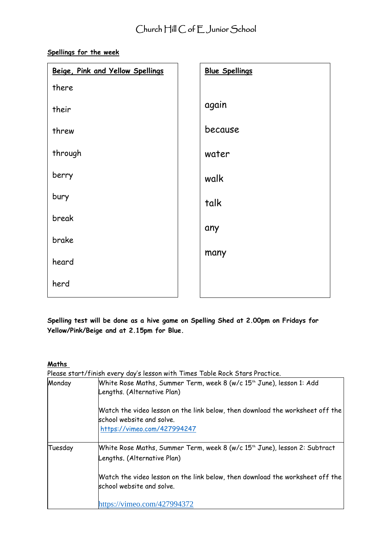## **Spellings for the week**

| Beige, Pink and Yellow Spellings | <b>Blue Spellings</b> |
|----------------------------------|-----------------------|
| there                            |                       |
| their                            | again                 |
| threw                            | because               |
| through                          | water                 |
| berry                            | walk                  |
| bury                             | talk                  |
| break                            | any                   |
| brake                            | many                  |
| heard                            |                       |
| herd                             |                       |

**Spelling test will be done as a hive game on Spelling Shed at 2.00pm on Fridays for Yellow/Pink/Beige and at 2.15pm for Blue.**

### **Maths**

Please start/finish every day's lesson with Times Table Rock Stars Practice.

| Monday  | White Rose Maths, Summer Term, week 8 (w/c 15 <sup>th</sup> June), lesson 1: Add<br>Lengths. (Alternative Plan)                           |
|---------|-------------------------------------------------------------------------------------------------------------------------------------------|
|         | Watch the video lesson on the link below, then download the worksheet off the<br>school website and solve.<br>https://vimeo.com/427994247 |
| Tuesday | White Rose Maths, Summer Term, week 8 (w/c 15th June), lesson 2: Subtract<br>Lengths. (Alternative Plan)                                  |
|         | Watch the video lesson on the link below, then download the worksheet off the $\,$<br>school website and solve.                           |
|         | https://vimeo.com/427994372                                                                                                               |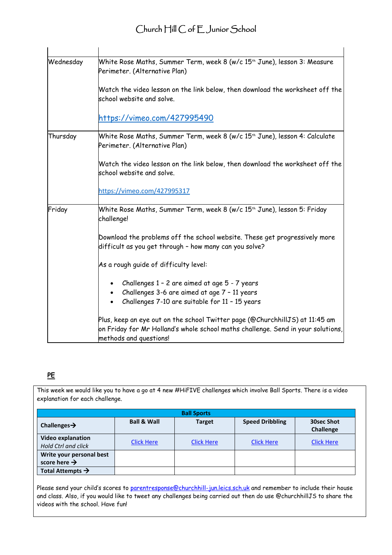| Wednesday | White Rose Maths, Summer Term, week 8 (w/c 15 <sup>th</sup> June), lesson 3: Measure<br>Perimeter. (Alternative Plan)                                                                      |
|-----------|--------------------------------------------------------------------------------------------------------------------------------------------------------------------------------------------|
|           | Watch the video lesson on the link below, then download the worksheet off the<br>school website and solve.                                                                                 |
|           | https://vimeo.com/427995490                                                                                                                                                                |
| Thursday  | White Rose Maths, Summer Term, week 8 (w/c 15th June), lesson 4: Calculate<br>Perimeter. (Alternative Plan)                                                                                |
|           | Watch the video lesson on the link below, then download the worksheet off the<br>school website and solve.                                                                                 |
|           | https://vimeo.com/427995317                                                                                                                                                                |
| Friday    | White Rose Maths, Summer Term, week 8 (w/c 15 <sup>th</sup> June), lesson 5: Friday<br>challenge!                                                                                          |
|           | Download the problems off the school website. These get progressively more<br>difficult as you get through - how many can you solve?                                                       |
|           | As a rough guide of difficulty level:                                                                                                                                                      |
|           | Challenges 1 - 2 are aimed at age 5 - 7 years                                                                                                                                              |
|           | Challenges 3-6 are aimed at age 7 - 11 years<br>Challenges 7-10 are suitable for 11 - 15 years                                                                                             |
|           | Plus, keep an eye out on the school Twitter page (@ChurchhillJS) at 11:45 am<br>on Friday for Mr Holland's whole school maths challenge. Send in your solutions,<br>methods and questions! |

### **PE**

This week we would like you to have a go at 4 new #HiFIVE challenges which involve Ball Sports. There is a video explanation for each challenge.

| <b>Ball Sports</b>                                     |                        |                   |                        |                         |
|--------------------------------------------------------|------------------------|-------------------|------------------------|-------------------------|
| Challenges $\rightarrow$                               | <b>Ball &amp; Wall</b> | <b>Target</b>     | <b>Speed Dribbling</b> | 30sec Shot<br>Challenge |
| <b>Video explanation</b><br><b>Hold Ctrl and click</b> | <b>Click Here</b>      | <b>Click Here</b> | <b>Click Here</b>      | <b>Click Here</b>       |
| Write your personal best<br>score here $\rightarrow$   |                        |                   |                        |                         |
| Total Attempts $\rightarrow$                           |                        |                   |                        |                         |

Please send your child's scores to [parentresponse@churchhill-jun.leics.sch.uk](mailto:parentresponse@churchhill-jun.leics.sch.uk) and remember to include their house and class. Also, if you would like to tweet any challenges being carried out then do use @churchhillJS to share the videos with the school. Have fun!